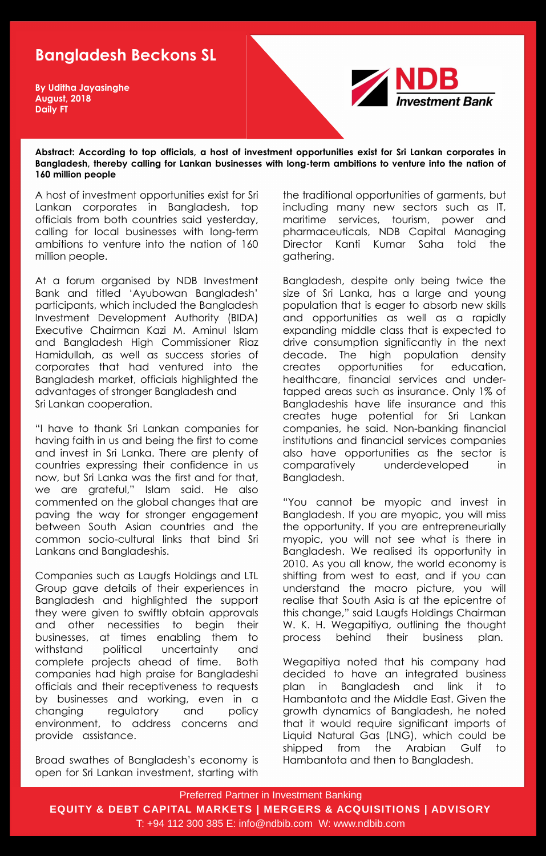Preferred Partner in Investment Banking **EQUITY & DEBT CAPITAL MARKETS | MERGERS & ACQUISITIONS | ADVISORY** T: +94 112 300 385 E: info@ndbib.com W: www.ndbib.com

## **Bangladesh Beckons SL**

**Abstract: According to top officials, a host of investment opportunities exist for Sri Lankan corporates in Bangladesh, thereby calling for Lankan businesses with long-term ambitions to venture into the nation of 160 million people**

**By Uditha Jayasinghe August, 2018 Daily FT**



A host of investment opportunities exist for Sri Lankan corporates in Bangladesh, top officials from both countries said yesterday, calling for local businesses with long-term ambitions to venture into the nation of 160 million people.

At a forum organised by NDB Investment Bank and titled "Ayubowan Bangladesh" participants, which included the Bangladesh Investment Development Authority (BIDA) Executive Chairman Kazi M. Aminul Islam and Bangladesh High Commissioner Riaz Hamidullah, as well as success stories of corporates that had ventured into the Bangladesh market, officials highlighted the advantages of stronger Bangladesh and Sri Lankan cooperation.

"I have to thank Sri Lankan companies for having faith in us and being the first to come and invest in Sri Lanka. There are plenty of countries expressing their confidence in us now, but Sri Lanka was the first and for that, we are grateful," Islam said. He also commented on the global changes that are paving the way for stronger engagement between South Asian countries and the common socio-cultural links that bind Sri Lankans and Bangladeshis.

Companies such as Laugfs Holdings and LTL Group gave details of their experiences in Bangladesh and highlighted the support they were given to swiftly obtain approvals and other necessities to begin their businesses, at times enabling them to withstand political uncertainty and complete projects ahead of time. Both companies had high praise for Bangladeshi officials and their receptiveness to requests by businesses and working, even in a changing regulatory and policy environment, to address concerns and provide assistance.

Broad swathes of Bangladesh"s economy is open for Sri Lankan investment, starting with the traditional opportunities of garments, but including many new sectors such as IT, maritime services, tourism, power and pharmaceuticals, NDB Capital Managing Director Kanti Kumar Saha told the gathering.

Bangladesh, despite only being twice the size of Sri Lanka, has a large and young population that is eager to absorb new skills and opportunities as well as a rapidly expanding middle class that is expected to drive consumption significantly in the next decade. The high population density creates opportunities for education, healthcare, financial services and undertapped areas such as insurance. Only 1% of Bangladeshis have life insurance and this creates huge potential for Sri Lankan companies, he said. Non-banking financial institutions and financial services companies also have opportunities as the sector is comparatively underdeveloped in Bangladesh.

"You cannot be myopic and invest in

Bangladesh. If you are myopic, you will miss the opportunity. If you are entrepreneurially myopic, you will not see what is there in Bangladesh. We realised its opportunity in 2010. As you all know, the world economy is shifting from west to east, and if you can understand the macro picture, you will realise that South Asia is at the epicentre of this change," said Laugfs Holdings Chairman W. K. H. Wegapitiya, outlining the thought process behind their business plan.

Wegapitiya noted that his company had decided to have an integrated business plan in Bangladesh and link it to Hambantota and the Middle East. Given the growth dynamics of Bangladesh, he noted that it would require significant imports of Liquid Natural Gas (LNG), which could be shipped from the Arabian Gulf to Hambantota and then to Bangladesh.